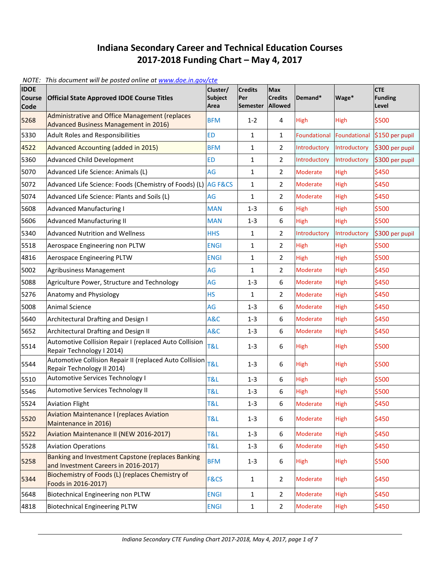## **Indiana Secondary Career and Technical Education Courses 2017-2018 Funding Chart – May 4, 2017**

*NOTE: This document will be posted online a[t www.doe.in.gov/cte](http://www.doe.in.gov/cte)*

| <b>IDOE</b><br><b>Course</b><br><b>Code</b> | <b>Official State Approved IDOE Course Titles</b>                                         | Cluster/<br><b>Subject</b><br>Area | <b>Credits</b><br>Per<br><b>Semester</b> | Max<br><b>Credits</b><br>Allowed | Demand*             | Wage*        | <b>CTE</b><br><b>Funding</b><br>Level |
|---------------------------------------------|-------------------------------------------------------------------------------------------|------------------------------------|------------------------------------------|----------------------------------|---------------------|--------------|---------------------------------------|
| 5268                                        | Administrative and Office Management (replaces<br>Advanced Business Management in 2016)   | <b>BFM</b>                         | $1 - 2$                                  | 4                                | <b>High</b>         | <b>High</b>  | \$500                                 |
| 5330                                        | <b>Adult Roles and Responsibilities</b>                                                   | <b>ED</b>                          | $\mathbf{1}$                             | $\mathbf{1}$                     | <b>Foundational</b> | Foundational | \$150 per pupil                       |
| 4522                                        | <b>Advanced Accounting (added in 2015)</b>                                                | <b>BFM</b>                         | $\mathbf{1}$                             | $\overline{2}$                   | Introductory        | Introductory | \$300 per pupil                       |
| 5360                                        | <b>Advanced Child Development</b>                                                         | <b>ED</b>                          | $\mathbf{1}$                             | $\overline{2}$                   | Introductory        | Introductory | \$300 per pupil                       |
| 5070                                        | Advanced Life Science: Animals (L)                                                        | AG                                 | $\mathbf{1}$                             | $\overline{2}$                   | <b>Moderate</b>     | High         | \$450                                 |
| 5072                                        | Advanced Life Science: Foods (Chemistry of Foods) (L)                                     | AG F&CS                            | 1                                        | $\overline{2}$                   | <b>Moderate</b>     | High         | \$450                                 |
| 5074                                        | Advanced Life Science: Plants and Soils (L)                                               | AG                                 | $\mathbf{1}$                             | 2                                | Moderate            | High         | \$450                                 |
| 5608                                        | <b>Advanced Manufacturing I</b>                                                           | <b>MAN</b>                         | $1 - 3$                                  | 6                                | High                | High         | \$500                                 |
| 5606                                        | <b>Advanced Manufacturing II</b>                                                          | <b>MAN</b>                         | $1 - 3$                                  | 6                                | High                | <b>High</b>  | \$500                                 |
| 5340                                        | <b>Advanced Nutrition and Wellness</b>                                                    | <b>HHS</b>                         | $\mathbf{1}$                             | $\overline{2}$                   | Introductory        | Introductory | \$300 per pupil                       |
| 5518                                        | Aerospace Engineering non PLTW                                                            | <b>ENGI</b>                        | $\mathbf{1}$                             | $\overline{2}$                   | High                | High         | \$500                                 |
| 4816                                        | <b>Aerospace Engineering PLTW</b>                                                         | <b>ENGI</b>                        | $\mathbf{1}$                             | $\overline{2}$                   | High                | High         | \$500                                 |
| 5002                                        | Agribusiness Management                                                                   | AG                                 | $\mathbf{1}$                             | $\overline{2}$                   | Moderate            | High         | \$450                                 |
| 5088                                        | Agriculture Power, Structure and Technology                                               | AG                                 | $1 - 3$                                  | 6                                | Moderate            | <b>High</b>  | \$450                                 |
| 5276                                        | Anatomy and Physiology                                                                    | <b>HS</b>                          | 1                                        | 2                                | Moderate            | <b>High</b>  | \$450                                 |
| 5008                                        | <b>Animal Science</b>                                                                     | AG                                 | $1 - 3$                                  | 6                                | Moderate            | <b>High</b>  | \$450                                 |
| 5640                                        | Architectural Drafting and Design I                                                       | A&C                                | $1 - 3$                                  | 6                                | Moderate            | <b>High</b>  | \$450                                 |
| 5652                                        | Architectural Drafting and Design II                                                      | A&C                                | $1-3$                                    | 6                                | Moderate            | High         | \$450                                 |
| 5514                                        | Automotive Collision Repair I (replaced Auto Collision<br>Repair Technology I 2014)       | T&L                                | $1 - 3$                                  | 6                                | <b>High</b>         | <b>High</b>  | \$500                                 |
| 5544                                        | Automotive Collision Repair II (replaced Auto Collision<br>Repair Technology II 2014)     | <b>T&amp;L</b>                     | $1 - 3$                                  | 6                                | High                | <b>High</b>  | \$500                                 |
| 5510                                        | Automotive Services Technology I                                                          | T&L                                | $1-3$                                    | 6                                | High                | High         | \$500                                 |
| 5546                                        | Automotive Services Technology II                                                         | T&L                                | $1-3$                                    | 6                                | High                | <b>High</b>  | \$500                                 |
| 5524                                        | <b>Aviation Flight</b>                                                                    | T&L                                | $1 - 3$                                  | 6                                | Moderate            | High         | \$450                                 |
| 5520                                        | <b>Aviation Maintenance I (replaces Aviation</b><br>Maintenance in 2016)                  | <b>T&amp;L</b>                     | $1 - 3$                                  | 6                                | Moderate            | <b>High</b>  | \$450                                 |
| 5522                                        | Aviation Maintenance II (NEW 2016-2017)                                                   | T&L                                | $1 - 3$                                  | 6                                | Moderate            | High         | \$450                                 |
| 5528                                        | <b>Aviation Operations</b>                                                                | T&L                                | $1 - 3$                                  | 6                                | Moderate            | <b>High</b>  | \$450                                 |
| 5258                                        | Banking and Investment Capstone (replaces Banking<br>and Investment Careers in 2016-2017) | <b>BFM</b>                         | $1 - 3$                                  | 6                                | <b>High</b>         | <b>High</b>  | \$500                                 |
| 5344                                        | Biochemistry of Foods (L) (replaces Chemistry of<br>Foods in 2016-2017)                   | F&CS                               | $\mathbf{1}$                             | $\overline{2}$                   | Moderate            | <b>High</b>  | \$450                                 |
| 5648                                        | Biotechnical Engineering non PLTW                                                         | <b>ENGI</b>                        | $\mathbf{1}$                             | $\overline{2}$                   | Moderate            | <b>High</b>  | \$450                                 |
| 4818                                        | <b>Biotechnical Engineering PLTW</b>                                                      | <b>ENGI</b>                        | $1\,$                                    | 2                                | Moderate            | <b>High</b>  | \$450                                 |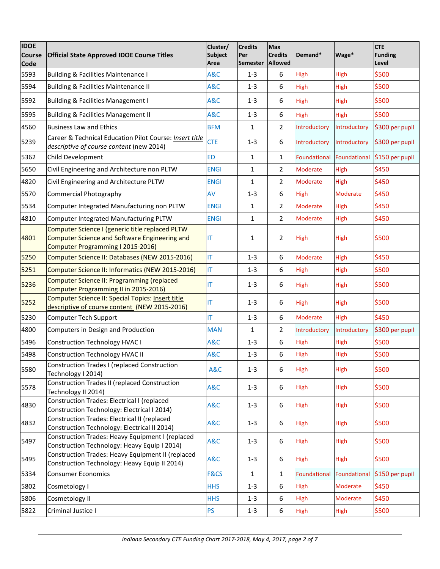| <b>IDOE</b><br><b>Course</b><br>Code | <b>Official State Approved IDOE Course Titles</b>                                                                                     | Cluster/<br><b>Subject</b><br>Area | <b>Credits</b><br>Per<br><b>Semester</b> | Max<br><b>Credits</b><br>Allowed | Demand*         | Wage*        | <b>CTE</b><br><b>Funding</b><br>Level |
|--------------------------------------|---------------------------------------------------------------------------------------------------------------------------------------|------------------------------------|------------------------------------------|----------------------------------|-----------------|--------------|---------------------------------------|
| 5593                                 | Building & Facilities Maintenance I                                                                                                   | A&C                                | $1 - 3$                                  | 6                                | High            | High         | \$500                                 |
| 5594                                 | Building & Facilities Maintenance II                                                                                                  | A&C                                | $1 - 3$                                  | 6                                | High            | High         | \$500                                 |
| 5592                                 | <b>Building &amp; Facilities Management I</b>                                                                                         | A&C                                | $1 - 3$                                  | 6                                | <b>High</b>     | <b>High</b>  | \$500                                 |
| 5595                                 | Building & Facilities Management II                                                                                                   | A&C                                | $1-3$                                    | 6                                | High            | High         | \$500                                 |
| 4560                                 | <b>Business Law and Ethics</b>                                                                                                        | <b>BFM</b>                         | $\mathbf{1}$                             | $\overline{2}$                   | Introductory    | Introductory | \$300 per pupil                       |
| 5239                                 | Career & Technical Education Pilot Course: Insert title<br>descriptive of course content (new 2014)                                   | <b>CTE</b>                         | $1 - 3$                                  | 6                                | Introductory    | Introductory | \$300 per pupil                       |
| 5362                                 | Child Development                                                                                                                     | <b>ED</b>                          | $\mathbf{1}$                             | $\mathbf{1}$                     | Foundational    | Foundational | \$150 per pupil                       |
| 5650                                 | Civil Engineering and Architecture non PLTW                                                                                           | <b>ENGI</b>                        | $\mathbf{1}$                             | $\overline{2}$                   | <b>Moderate</b> | High         | \$450                                 |
| 4820                                 | Civil Engineering and Architecture PLTW                                                                                               | <b>ENGI</b>                        | $\mathbf{1}$                             | $\overline{2}$                   | Moderate        | <b>High</b>  | \$450                                 |
| 5570                                 | <b>Commercial Photography</b>                                                                                                         | AV                                 | $1-3$                                    | 6                                | High            | Moderate     | \$450                                 |
| 5534                                 | Computer Integrated Manufacturing non PLTW                                                                                            | <b>ENGI</b>                        | $\mathbf{1}$                             | $\overline{2}$                   | Moderate        | High         | \$450                                 |
| 4810                                 | Computer Integrated Manufacturing PLTW                                                                                                | <b>ENGI</b>                        | $\mathbf{1}$                             | $\overline{2}$                   | Moderate        | High         | \$450                                 |
| 4801                                 | Computer Science I (generic title replaced PLTW<br>Computer Science and Software Engineering and<br>Computer Programming I 2015-2016) | IT                                 | $\mathbf{1}$                             | 2                                | High            | <b>High</b>  | \$500                                 |
| 5250                                 | Computer Science II: Databases (NEW 2015-2016)                                                                                        | <b>IT</b>                          | $1-3$                                    | 6                                | Moderate        | High         | \$450                                 |
| 5251                                 | Computer Science II: Informatics (NEW 2015-2016)                                                                                      | IT.                                | $1 - 3$                                  | 6                                | High            | High         | \$500                                 |
| 5236                                 | <b>Computer Science II: Programming (replaced</b><br>Computer Programming II in 2015-2016)                                            | IT                                 | $1 - 3$                                  | 6                                | <b>High</b>     | <b>High</b>  | \$500                                 |
| 5252                                 | <b>Computer Science II: Special Topics: Insert title</b><br>descriptive of course content (NEW 2015-2016)                             | IT                                 | $1 - 3$                                  | 6                                | <b>High</b>     | <b>High</b>  | \$500                                 |
| 5230                                 | Computer Tech Support                                                                                                                 | IT                                 | $1 - 3$                                  | 6                                | Moderate        | High         | \$450                                 |
| 4800                                 | Computers in Design and Production                                                                                                    | <b>MAN</b>                         | $\mathbf{1}$                             | $\overline{2}$                   | Introductory    | Introductory | \$300 per pupil                       |
| 5496                                 | <b>Construction Technology HVAC I</b>                                                                                                 | A&C                                | $1 - 3$                                  | 6                                | High            | <b>High</b>  | \$500                                 |
| 5498                                 | <b>Construction Technology HVAC II</b>                                                                                                | A&C                                | $1 - 3$                                  | 6                                | High            | <b>High</b>  | \$500                                 |
| 5580                                 | Construction Trades I (replaced Construction<br>Technology I 2014)                                                                    | A&C                                | $1-3$                                    | 6                                | <b>High</b>     | High         | \$500                                 |
| 5578                                 | <b>Construction Trades II (replaced Construction</b><br>Technology II 2014)                                                           | <b>A&amp;C</b>                     | $1 - 3$                                  | 6                                | <b>High</b>     | <b>High</b>  | \$500                                 |
| 4830                                 | Construction Trades: Electrical I (replaced<br>Construction Technology: Electrical I 2014)                                            | <b>A&amp;C</b>                     | $1 - 3$                                  | 6                                | High            | <b>High</b>  | \$500                                 |
| 4832                                 | <b>Construction Trades: Electrical II (replaced</b><br>Construction Technology: Electrical II 2014)                                   | A&C                                | $1 - 3$                                  | 6                                | High            | <b>High</b>  | \$500                                 |
| 5497                                 | Construction Trades: Heavy Equipment I (replaced<br>Construction Technology: Heavy Equip I 2014)                                      | A&C                                | $1 - 3$                                  | 6                                | High            | <b>High</b>  | \$500                                 |
| 5495                                 | Construction Trades: Heavy Equipment II (replaced<br>Construction Technology: Heavy Equip II 2014)                                    | A&C                                | $1 - 3$                                  | 6                                | High            | High         | \$500                                 |
| 5334                                 | <b>Consumer Economics</b>                                                                                                             | F&CS                               | $\mathbf{1}$                             | $\mathbf{1}$                     | Foundational    | Foundational | \$150 per pupil                       |
| 5802                                 | Cosmetology I                                                                                                                         | <b>HHS</b>                         | $1-3$                                    | 6                                | High            | Moderate     | \$450                                 |
| 5806                                 | Cosmetology II                                                                                                                        | <b>HHS</b>                         | $1 - 3$                                  | $\boldsymbol{6}$                 | <b>High</b>     | Moderate     | \$450                                 |
| 5822                                 | Criminal Justice I                                                                                                                    | <b>PS</b>                          | $1 - 3$                                  | 6                                | High            | <b>High</b>  | \$500                                 |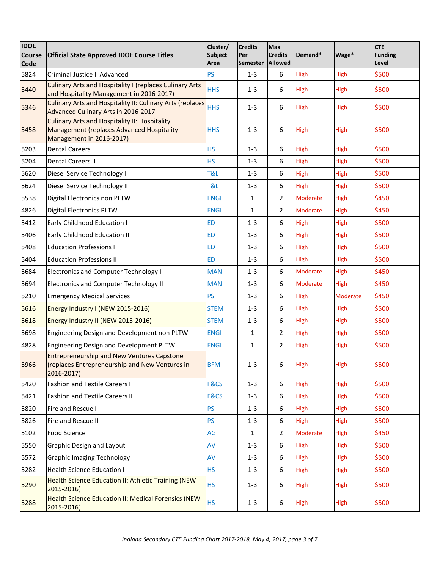| <b>IDOE</b><br><b>Course</b> | <b>Official State Approved IDOE Course Titles</b>                                                                             | Cluster/<br><b>Subject</b> | <b>Credits</b><br>Per | <b>Max</b><br><b>Credits</b> | Demand*         | Wage*           | <b>CTE</b><br>Funding |
|------------------------------|-------------------------------------------------------------------------------------------------------------------------------|----------------------------|-----------------------|------------------------------|-----------------|-----------------|-----------------------|
| <b>Code</b>                  |                                                                                                                               | Area                       | <b>Semester</b>       | <b>Allowed</b>               |                 |                 | Level                 |
| 5824                         | Criminal Justice II Advanced                                                                                                  | <b>PS</b>                  | $1 - 3$               | 6                            | High            | High            | \$500                 |
| 5440                         | <b>Culinary Arts and Hospitality I (replaces Culinary Arts</b><br>and Hospitality Management in 2016-2017)                    | <b>HHS</b>                 | $1 - 3$               | 6                            | High            | High            | \$500                 |
| 5346                         | <b>Culinary Arts and Hospitality II: Culinary Arts (replaces</b><br>Advanced Culinary Arts in 2016-2017                       | <b>HHS</b>                 | $1 - 3$               | 6                            | High            | High            | \$500                 |
| 5458                         | <b>Culinary Arts and Hospitality II: Hospitality</b><br>Management (replaces Advanced Hospitality<br>Management in 2016-2017) | <b>HHS</b>                 | $1 - 3$               | 6                            | High            | <b>High</b>     | \$500                 |
| 5203                         | <b>Dental Careers I</b>                                                                                                       | <b>HS</b>                  | $1 - 3$               | 6                            | High            | High            | \$500                 |
| 5204                         | <b>Dental Careers II</b>                                                                                                      | <b>HS</b>                  | $1 - 3$               | 6                            | High            | <b>High</b>     | \$500                 |
| 5620                         | Diesel Service Technology I                                                                                                   | T&L                        | $1 - 3$               | 6                            | High            | High            | \$500                 |
| 5624                         | Diesel Service Technology II                                                                                                  | <b>T&amp;L</b>             | $1 - 3$               | 6                            | High            | High            | \$500                 |
| 5538                         | Digital Electronics non PLTW                                                                                                  | <b>ENGI</b>                | 1                     | $\overline{2}$               | Moderate        | High            | \$450                 |
| 4826                         | <b>Digital Electronics PLTW</b>                                                                                               | <b>ENGI</b>                | 1                     | $\overline{2}$               | <b>Moderate</b> | High            | \$450                 |
| 5412                         | Early Childhood Education I                                                                                                   | <b>ED</b>                  | $1 - 3$               | 6                            | High            | High            | \$500                 |
| 5406                         | <b>Early Childhood Education II</b>                                                                                           | <b>ED</b>                  | $1 - 3$               | 6                            | High            | High            | \$500                 |
| 5408                         | <b>Education Professions I</b>                                                                                                | <b>ED</b>                  | $1 - 3$               | 6                            | High            | <b>High</b>     | \$500                 |
| 5404                         | <b>Education Professions II</b>                                                                                               | <b>ED</b>                  | $1 - 3$               | 6                            | High            | High            | \$500                 |
| 5684                         | <b>Electronics and Computer Technology I</b>                                                                                  | <b>MAN</b>                 | $1 - 3$               | $\boldsymbol{6}$             | Moderate        | High            | \$450                 |
| 5694                         | <b>Electronics and Computer Technology II</b>                                                                                 | <b>MAN</b>                 | $1 - 3$               | 6                            | Moderate        | <b>High</b>     | \$450                 |
| 5210                         | <b>Emergency Medical Services</b>                                                                                             | PS                         | $1-3$                 | 6                            | High            | <b>Moderate</b> | \$450                 |
| 5616                         | Energy Industry I (NEW 2015-2016)                                                                                             | <b>STEM</b>                | $1 - 3$               | 6                            | High            | High            | \$500                 |
| 5618                         | Energy Industry II (NEW 2015-2016)                                                                                            | <b>STEM</b>                | $1 - 3$               | 6                            | High            | <b>High</b>     | \$500                 |
| 5698                         | Engineering Design and Development non PLTW                                                                                   | <b>ENGI</b>                | 1                     | 2                            | High            | High            | \$500                 |
| 4828                         | Engineering Design and Development PLTW                                                                                       | <b>ENGI</b>                | 1                     | $\overline{2}$               | High            | <b>High</b>     | \$500                 |
| 5966                         | <b>Entrepreneurship and New Ventures Capstone</b><br>(replaces Entrepreneurship and New Ventures in<br>2016-2017)             | <b>BFM</b>                 | $1 - 3$               | 6                            | High            | High            | \$500                 |
| 5420                         | <b>Fashion and Textile Careers I</b>                                                                                          | F&CS                       | $1 - 3$               | 6                            | High            | <b>High</b>     | \$500                 |
| 5421                         | <b>Fashion and Textile Careers II</b>                                                                                         | F&CS                       | $1 - 3$               | $\boldsymbol{6}$             | High            | High            | \$500                 |
| 5820                         | Fire and Rescue I                                                                                                             | <b>PS</b>                  | $1 - 3$               | 6                            | High            | High            | \$500                 |
| 5826                         | Fire and Rescue II                                                                                                            | <b>PS</b>                  | $1 - 3$               | 6                            | High            | High            | \$500                 |
| 5102                         | <b>Food Science</b>                                                                                                           | AG                         | 1                     | $\overline{2}$               | Moderate        | High            | \$450                 |
| 5550                         | <b>Graphic Design and Layout</b>                                                                                              | AV                         | $1 - 3$               | 6                            | High            | <b>High</b>     | \$500                 |
| 5572                         | <b>Graphic Imaging Technology</b>                                                                                             | AV                         | $1 - 3$               | 6                            | <b>High</b>     | High            | \$500                 |
| 5282                         | <b>Health Science Education I</b>                                                                                             | <b>HS</b>                  | $1 - 3$               | $\boldsymbol{6}$             | High            | <b>High</b>     | \$500                 |
| 5290                         | Health Science Education II: Athletic Training (NEW<br>2015-2016)                                                             | <b>HS</b>                  | $1 - 3$               | 6                            | High            | <b>High</b>     | \$500                 |
| 5288                         | <b>Health Science Education II: Medical Forensics (NEW</b><br>$2015 - 2016$                                                   | <b>HS</b>                  | $1 - 3$               | 6                            | High            | High            | \$500                 |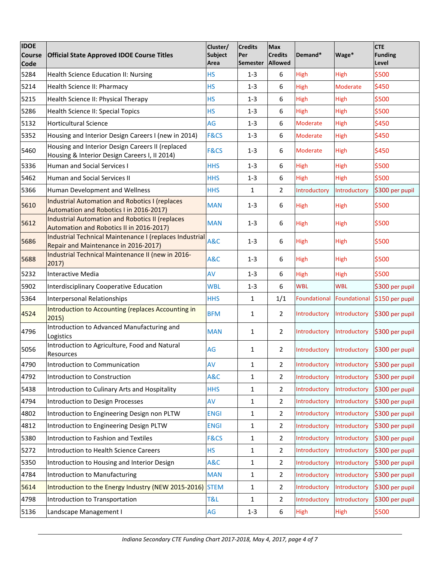| <b>IDOE</b><br><b>Course</b><br>Code | <b>Official State Approved IDOE Course Titles</b>                                                  | Cluster/<br><b>Subject</b><br>Area | <b>Credits</b><br>Per<br><b>Semester</b> | Max<br><b>Credits</b><br>Allowed | Demand*         | Wage*        | <b>CTE</b><br><b>Funding</b><br>Level |
|--------------------------------------|----------------------------------------------------------------------------------------------------|------------------------------------|------------------------------------------|----------------------------------|-----------------|--------------|---------------------------------------|
| 5284                                 | Health Science Education II: Nursing                                                               | <b>HS</b>                          | $1 - 3$                                  | 6                                | High            | High         | \$500                                 |
| 5214                                 | Health Science II: Pharmacy                                                                        | <b>HS</b>                          | $1 - 3$                                  | 6                                | High            | Moderate     | \$450                                 |
| 5215                                 | Health Science II: Physical Therapy                                                                | <b>HS</b>                          | $1 - 3$                                  | $6\phantom{1}$                   | High            | High         | \$500                                 |
| 5286                                 | Health Science II: Special Topics                                                                  | <b>HS</b>                          | $1 - 3$                                  | $\boldsymbol{6}$                 | High            | High         | \$500                                 |
| 5132                                 | <b>Horticultural Science</b>                                                                       | AG                                 | $1 - 3$                                  | 6                                | Moderate        | High         | \$450                                 |
| 5352                                 | Housing and Interior Design Careers I (new in 2014)                                                | <b>F&amp;CS</b>                    | $1 - 3$                                  | 6                                | Moderate        | <b>High</b>  | \$450                                 |
| 5460                                 | Housing and Interior Design Careers II (replaced<br>Housing & Interior Design Careers I, II 2014)  | F&CS                               | $1 - 3$                                  | 6                                | <b>Moderate</b> | <b>High</b>  | \$450                                 |
| 5336                                 | <b>Human and Social Services I</b>                                                                 | <b>HHS</b>                         | $1 - 3$                                  | 6                                | High            | High         | \$500                                 |
| 5462                                 | Human and Social Services II                                                                       | <b>HHS</b>                         | $1 - 3$                                  | 6                                | High            | High         | \$500                                 |
| 5366                                 | Human Development and Wellness                                                                     | <b>HHS</b>                         | $\mathbf{1}$                             | $\overline{2}$                   | Introductory    | Introductory | \$300 per pupil                       |
| 5610                                 | <b>Industrial Automation and Robotics I (replaces</b><br>Automation and Robotics I in 2016-2017)   | <b>MAN</b>                         | $1 - 3$                                  | 6                                | High            | <b>High</b>  | \$500                                 |
| 5612                                 | <b>Industrial Automation and Robotics II (replaces</b><br>Automation and Robotics II in 2016-2017) | <b>MAN</b>                         | $1 - 3$                                  | 6                                | <b>High</b>     | <b>High</b>  | \$500                                 |
| 5686                                 | Industrial Technical Maintenance I (replaces Industrial<br>Repair and Maintenance in 2016-2017)    | A&C                                | $1 - 3$                                  | 6                                | <b>High</b>     | <b>High</b>  | \$500                                 |
| 5688                                 | Industrial Technical Maintenance II (new in 2016-<br>2017)                                         | A&C                                | $1 - 3$                                  | 6                                | <b>High</b>     | <b>High</b>  | \$500                                 |
| 5232                                 | Interactive Media                                                                                  | AV                                 | $1 - 3$                                  | 6                                | High            | <b>High</b>  | \$500                                 |
| 5902                                 | <b>Interdisciplinary Cooperative Education</b>                                                     | <b>WBL</b>                         | $1 - 3$                                  | 6                                | <b>WBL</b>      | <b>WBL</b>   | \$300 per pupil                       |
| 5364                                 | Interpersonal Relationships                                                                        | <b>HHS</b>                         | 1                                        | 1/1                              | Foundational    | Foundational | \$150 per pupil                       |
| 4524                                 | Introduction to Accounting (replaces Accounting in<br>2015)                                        | <b>BFM</b>                         | 1                                        | $\overline{2}$                   | Introductory    | Introductory | \$300 per pupil                       |
| 4796                                 | Introduction to Advanced Manufacturing and<br>Logistics                                            | <b>MAN</b>                         | 1                                        | $\overline{2}$                   | Introductory    | Introductory | \$300 per pupil                       |
| 5056                                 | Introduction to Agriculture, Food and Natural<br>Resources                                         | AG                                 | 1                                        | $\overline{2}$                   | Introductory    | Introductory | \$300 per pupil                       |
| 4790                                 | Introduction to Communication                                                                      | AV                                 | 1                                        | 2                                | Introductory    | Introductory | \$300 per pupil                       |
| 4792                                 | Introduction to Construction                                                                       | A&C                                | 1                                        | 2                                | Introductory    | Introductory | \$300 per pupil                       |
| 5438                                 | Introduction to Culinary Arts and Hospitality                                                      | <b>HHS</b>                         | $\mathbf 1$                              | 2                                | Introductory    | Introductory | \$300 per pupil                       |
| 4794                                 | Introduction to Design Processes                                                                   | AV                                 | $\mathbf 1$                              | $\overline{2}$                   | Introductory    | Introductory | \$300 per pupil                       |
| 4802                                 | Introduction to Engineering Design non PLTW                                                        | <b>ENGI</b>                        | 1                                        | $\overline{2}$                   | Introductory    | Introductory | \$300 per pupil                       |
| 4812                                 | Introduction to Engineering Design PLTW                                                            | <b>ENGI</b>                        | 1                                        | $\overline{2}$                   | Introductory    | Introductory | \$300 per pupil                       |
| 5380                                 | Introduction to Fashion and Textiles                                                               | F&CS                               | 1                                        | $\overline{2}$                   | Introductory    | Introductory | \$300 per pupil                       |
| 5272                                 | Introduction to Health Science Careers                                                             | <b>HS</b>                          | 1                                        | 2                                | Introductory    | Introductory | \$300 per pupil                       |
| 5350                                 | Introduction to Housing and Interior Design                                                        | A&C                                | $\mathbf 1$                              | 2                                | Introductory    | Introductory | \$300 per pupil                       |
| 4784                                 | Introduction to Manufacturing                                                                      | <b>MAN</b>                         | 1                                        | $\overline{2}$                   | Introductory    | Introductory | \$300 per pupil                       |
| 5614                                 | Introduction to the Energy Industry (NEW 2015-2016) STEM                                           |                                    | $\mathbf 1$                              | $\overline{2}$                   | Introductory    | Introductory | \$300 per pupil                       |
| 4798                                 | Introduction to Transportation                                                                     | <b>T&amp;L</b>                     | 1                                        | $\overline{2}$                   | Introductory    | Introductory | \$300 per pupil                       |
| 5136                                 | Landscape Management I                                                                             | AG                                 | $1 - 3$                                  | $\boldsymbol{6}$                 | <b>High</b>     | <b>High</b>  | \$500                                 |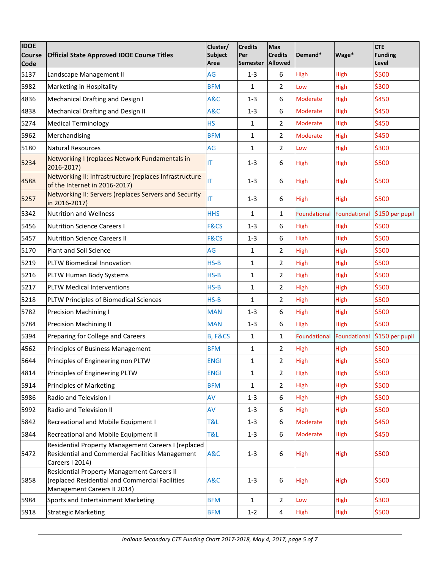| <b>IDOE</b><br><b>Course</b><br><b>Code</b> | <b>Official State Approved IDOE Course Titles</b>                                                                            | Cluster/<br><b>Subject</b><br>Area | <b>Credits</b><br>Per<br><b>Semester</b> | <b>Max</b><br><b>Credits</b><br>Allowed | Demand*             | Wage*        | <b>CTE</b><br>Funding<br>Level |
|---------------------------------------------|------------------------------------------------------------------------------------------------------------------------------|------------------------------------|------------------------------------------|-----------------------------------------|---------------------|--------------|--------------------------------|
| 5137                                        | Landscape Management II                                                                                                      | AG                                 | $1 - 3$                                  | 6                                       | High                | High         | \$500                          |
| 5982                                        | Marketing in Hospitality                                                                                                     | <b>BFM</b>                         | 1                                        | $\overline{2}$                          | Low                 | High         | \$300                          |
| 4836                                        | Mechanical Drafting and Design I                                                                                             | <b>A&amp;C</b>                     | $1 - 3$                                  | 6                                       | Moderate            | High         | \$450                          |
| 4838                                        | Mechanical Drafting and Design II                                                                                            | <b>A&amp;C</b>                     | $1 - 3$                                  | 6                                       | Moderate            | High         | \$450                          |
| 5274                                        | <b>Medical Terminology</b>                                                                                                   | <b>HS</b>                          | 1                                        | $\overline{2}$                          | Moderate            | High         | \$450                          |
| 5962                                        | Merchandising                                                                                                                | <b>BFM</b>                         | 1                                        | $\overline{2}$                          | Moderate            | <b>High</b>  | \$450                          |
| 5180                                        | <b>Natural Resources</b>                                                                                                     | AG                                 | 1                                        | $\overline{2}$                          | Low                 | High         | \$300                          |
| 5234                                        | Networking I (replaces Network Fundamentals in<br>2016-2017)                                                                 | IT                                 | $1 - 3$                                  | 6                                       | High                | High         | \$500                          |
| 4588                                        | Networking II: Infrastructure (replaces Infrastructure<br>of the Internet in 2016-2017)                                      | IT                                 | $1 - 3$                                  | 6                                       | High                | High         | \$500                          |
| 5257                                        | Networking II: Servers (replaces Servers and Security<br>in 2016-2017)                                                       | ΙT                                 | $1 - 3$                                  | 6                                       | High                | High         | \$500                          |
| 5342                                        | <b>Nutrition and Wellness</b>                                                                                                | <b>HHS</b>                         | $\mathbf{1}$                             | $\mathbf{1}$                            | <b>Foundational</b> | Foundational | \$150 per pupil                |
| 5456                                        | <b>Nutrition Science Careers I</b>                                                                                           | <b>F&amp;CS</b>                    | $1 - 3$                                  | 6                                       | High                | High         | \$500                          |
| 5457                                        | <b>Nutrition Science Careers II</b>                                                                                          | F&CS                               | $1 - 3$                                  | 6                                       | High                | High         | \$500                          |
| 5170                                        | <b>Plant and Soil Science</b>                                                                                                | AG                                 | 1                                        | $\overline{2}$                          | High                | High         | \$500                          |
| 5219                                        | PLTW Biomedical Innovation                                                                                                   | $HS-B$                             | 1                                        | $\overline{2}$                          | High                | High         | \$500                          |
| 5216                                        | PLTW Human Body Systems                                                                                                      | $HS-B$                             | 1                                        | $\overline{2}$                          | High                | High         | \$500                          |
| 5217                                        | <b>PLTW Medical Interventions</b>                                                                                            | $HS-B$                             | 1                                        | $\overline{2}$                          | High                | High         | \$500                          |
| 5218                                        | PLTW Principles of Biomedical Sciences                                                                                       | $HS-B$                             | 1                                        | 2                                       | High                | High         | \$500                          |
| 5782                                        | <b>Precision Machining I</b>                                                                                                 | <b>MAN</b>                         | $1 - 3$                                  | 6                                       | High                | High         | \$500                          |
| 5784                                        | <b>Precision Machining II</b>                                                                                                | <b>MAN</b>                         | $1 - 3$                                  | 6                                       | High                | High         | \$500                          |
| 5394                                        | Preparing for College and Careers                                                                                            | <b>B, F&amp;CS</b>                 | $\mathbf{1}$                             | $\mathbf{1}$                            | Foundational        |              | Foundational \$150 per pupil   |
| 4562                                        | Principles of Business Management                                                                                            | <b>BFM</b>                         | 1                                        | $\overline{2}$                          | High                | High         | \$500                          |
| 5644                                        | Principles of Engineering non PLTW                                                                                           | <b>ENGI</b>                        | 1                                        | 2                                       | High                | <b>High</b>  | \$500                          |
| 4814                                        | Principles of Engineering PLTW                                                                                               | <b>ENGI</b>                        | 1                                        | 2                                       | High                | <b>High</b>  | \$500                          |
| 5914                                        | <b>Principles of Marketing</b>                                                                                               | <b>BFM</b>                         | 1                                        | $\overline{2}$                          | High                | <b>High</b>  | \$500                          |
| 5986                                        | Radio and Television I                                                                                                       | AV                                 | $1 - 3$                                  | 6                                       | High                | <b>High</b>  | \$500                          |
| 5992                                        | Radio and Television II                                                                                                      | AV                                 | $1 - 3$                                  | $\boldsymbol{6}$                        | High                | <b>High</b>  | \$500                          |
| 5842                                        | Recreational and Mobile Equipment I                                                                                          | <b>T&amp;L</b>                     | $1 - 3$                                  | 6                                       | Moderate            | <b>High</b>  | \$450                          |
| 5844                                        | Recreational and Mobile Equipment II                                                                                         | T&L                                | $1 - 3$                                  | $\boldsymbol{6}$                        | Moderate            | <b>High</b>  | \$450                          |
| 5472                                        | Residential Property Management Careers I (replaced<br>Residential and Commercial Facilities Management<br>Careers I 2014)   | A&C                                | $1 - 3$                                  | 6                                       | High                | High         | \$500                          |
| 5858                                        | Residential Property Management Careers II<br>(replaced Residential and Commercial Facilities<br>Management Careers II 2014) | A&C                                | $1 - 3$                                  | 6                                       | High                | <b>High</b>  | \$500                          |
| 5984                                        | Sports and Entertainment Marketing                                                                                           | <b>BFM</b>                         | 1                                        | $\overline{2}$                          | Low                 | <b>High</b>  | \$300                          |
| 5918                                        | <b>Strategic Marketing</b>                                                                                                   | <b>BFM</b>                         | $1 - 2$                                  | 4                                       | High                | High         | \$500                          |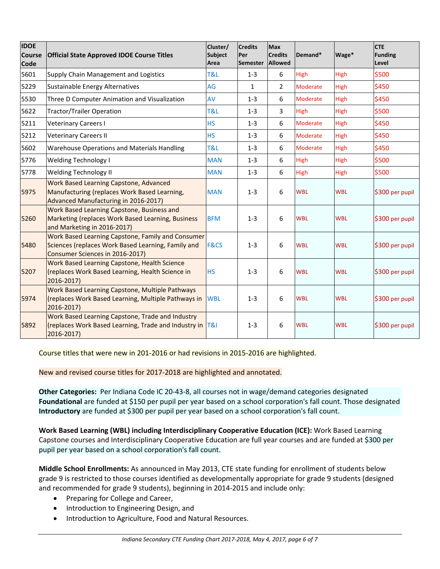| <b>IDOE</b><br><b>Course</b><br><b>Code</b> | <b>Official State Approved IDOE Course Titles</b>                                                                                          | Cluster/<br><b>Subject</b><br>Area | <b>Credits</b><br>Per<br><b>Semester</b> | <b>Max</b><br><b>Credits</b><br>Allowed | Demand*         | Wage*       | <b>CTE</b><br><b>Funding</b><br>Level |
|---------------------------------------------|--------------------------------------------------------------------------------------------------------------------------------------------|------------------------------------|------------------------------------------|-----------------------------------------|-----------------|-------------|---------------------------------------|
| 5601                                        | Supply Chain Management and Logistics                                                                                                      | <b>T&amp;L</b>                     | $1 - 3$                                  | 6                                       | High            | High        | \$500                                 |
| 5229                                        | Sustainable Energy Alternatives                                                                                                            | AG                                 | $\mathbf{1}$                             | $\overline{2}$                          | <b>Moderate</b> | High        | \$450                                 |
| 5530                                        | Three D Computer Animation and Visualization                                                                                               | AV                                 | $1 - 3$                                  | 6                                       | Moderate        | <b>High</b> | \$450                                 |
| 5622                                        | <b>Tractor/Trailer Operation</b>                                                                                                           | T&L                                | $1 - 3$                                  | 3                                       | <b>High</b>     | <b>High</b> | \$500                                 |
| 5211                                        | <b>Veterinary Careers I</b>                                                                                                                | <b>HS</b>                          | $1 - 3$                                  | 6                                       | Moderate        | High        | \$450                                 |
| 5212                                        | <b>Veterinary Careers II</b>                                                                                                               | <b>HS</b>                          | $1 - 3$                                  | 6                                       | <b>Moderate</b> | High        | \$450                                 |
| 5602                                        | <b>Warehouse Operations and Materials Handling</b>                                                                                         | T&L                                | $1 - 3$                                  | 6                                       | <b>Moderate</b> | <b>High</b> | \$450                                 |
| 5776                                        | <b>Welding Technology I</b>                                                                                                                | <b>MAN</b>                         | $1 - 3$                                  | 6                                       | High            | <b>High</b> | \$500                                 |
| 5778                                        | Welding Technology II                                                                                                                      | <b>MAN</b>                         | $1 - 3$                                  | 6                                       | High            | High        | \$500                                 |
| 5975                                        | Work Based Learning Capstone, Advanced<br>Manufacturing (replaces Work Based Learning,<br>Advanced Manufacturing in 2016-2017)             | <b>MAN</b>                         | $1 - 3$                                  | 6                                       | <b>WBL</b>      | <b>WBL</b>  | \$300 per pupil                       |
| 5260                                        | Work Based Learning Capstone, Business and<br>Marketing (replaces Work Based Learning, Business<br>and Marketing in 2016-2017)             | <b>BFM</b>                         | $1 - 3$                                  | 6                                       | <b>WBL</b>      | <b>WBL</b>  | \$300 per pupil                       |
| 5480                                        | Work Based Learning Capstone, Family and Consumer<br>Sciences (replaces Work Based Learning, Family and<br>Consumer Sciences in 2016-2017) | <b>F&amp;CS</b>                    | $1 - 3$                                  | 6                                       | <b>WBL</b>      | <b>WBL</b>  | \$300 per pupil                       |
| 5207                                        | Work Based Learning Capstone, Health Science<br>(replaces Work Based Learning, Health Science in<br>2016-2017)                             | <b>HS</b>                          | $1 - 3$                                  | 6                                       | <b>WBL</b>      | <b>WBL</b>  | \$300 per pupil                       |
| 5974                                        | Work Based Learning Capstone, Multiple Pathways<br>(replaces Work Based Learning, Multiple Pathways in<br>2016-2017)                       | <b>WBL</b>                         | $1 - 3$                                  | 6                                       | <b>WBL</b>      | <b>WBL</b>  | \$300 per pupil                       |
| 5892                                        | Work Based Learning Capstone, Trade and Industry<br>(replaces Work Based Learning, Trade and Industry in T&I<br>2016-2017)                 |                                    | $1 - 3$                                  | 6                                       | <b>WBL</b>      | <b>WBL</b>  | \$300 per pupil                       |

Course titles that were new in 201-2016 or had revisions in 2015-2016 are highlighted.

New and revised course titles for 2017-2018 are highlighted and annotated.

**Other Categories:** Per Indiana Code IC 20-43-8, all courses not in wage/demand categories designated **Foundational** are funded at \$150 per pupil per year based on a school corporation's fall count. Those designated **Introductory** are funded at \$300 per pupil per year based on a school corporation's fall count.

**Work Based Learning (WBL) including Interdisciplinary Cooperative Education (ICE):** Work Based Learning Capstone courses and Interdisciplinary Cooperative Education are full year courses and are funded at \$300 per pupil per year based on a school corporation's fall count.

**Middle School Enrollments:** As announced in May 2013, CTE state funding for enrollment of students below grade 9 is restricted to those courses identified as developmentally appropriate for grade 9 students (designed and recommended for grade 9 students), beginning in 2014-2015 and include only:

- Preparing for College and Career,
- Introduction to Engineering Design, and
- Introduction to Agriculture, Food and Natural Resources.